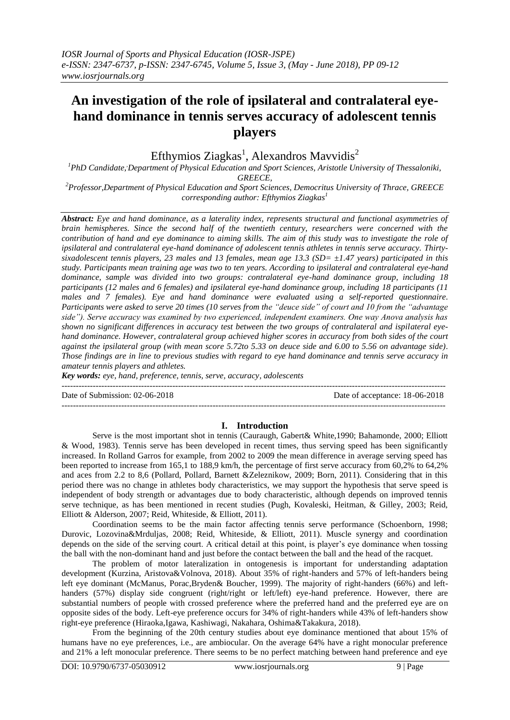# **An investigation of the role of ipsilateral and contralateral eyehand dominance in tennis serves accuracy of adolescent tennis players**

Efthymios Ziagkas<sup>1</sup>, Alexandros Mavvidis<sup>2</sup>

*<sup>1</sup>PhD Candidate,,Department of Physical Education and Sport Sciences, Aristotle University of Thessaloniki, GREECE,*

*<sup>2</sup>Professor,Department of Physical Education and Sport Sciences, Democritus University of Thrace, GREECE corresponding author: Efthymios Ziagkas<sup>1</sup>*

*Abstract: Eye and hand dominance, as a laterality index, represents structural and functional asymmetries of brain hemispheres. Since the second half of the twentieth century, researchers were concerned with the contribution of hand and eye dominance to aiming skills. The aim of this study was to investigate the role of ipsilateral and contralateral eye-hand dominance of adolescent tennis athletes in tennis serve accuracy. Thirtysixadolescent tennis players, 23 males and 13 females, mean age 13.3 (SD= ±1.47 years) participated in this study. Participants mean training age was two to ten years. According to ipsilateral and contralateral eye-hand dominance, sample was divided into two groups: contralateral eye-hand dominance group, including 18 participants (12 males and 6 females) and ipsilateral eye-hand dominance group, including 18 participants (11 males and 7 females). Eye and hand dominance were evaluated using a self-reported questionnaire. Participants were asked to serve 20 times (10 serves from the "deuce side" of court and 10 from the "advantage side"). Serve accuracy was examined by two experienced, independent examiners. One way Anova analysis has shown no significant differences in accuracy test between the two groups of contralateral and ispilateral eyehand dominance. However, contralateral group achieved higher scores in accuracy from both sides of the court against the ipsilateral group (with mean score 5.72to 5.33 on deuce side and 6.00 to 5.56 on advantage side). Those findings are in line to previous studies with regard to eye hand dominance and tennis serve accuracy in amateur tennis players and athletes.*

*Key words: eye, hand, preference, tennis, serve, accuracy, adolescents*

Date of Submission: 02-06-2018 Date of acceptance: 18-06-2018

# **I. Introduction**

---------------------------------------------------------------------------------------------------------------------------------------

---------------------------------------------------------------------------------------------------------------------------------------

Serve is the most important shot in tennis (Cauraugh, Gabert& White,1990; Bahamonde, 2000; Elliott & Wood, 1983). Tennis serve has been developed in recent times, thus serving speed has been significantly increased. In Rolland Garros for example, from 2002 to 2009 the mean difference in average serving speed has been reported to increase from 165,1 to 188,9 km/h, the percentage of first serve accuracy from 60,2% to 64,2% and aces from 2.2 to 8,6 (Pollard, Pollard, Barnett &Zeleznikow, 2009; Born, 2011). Considering that in this period there was no change in athletes body characteristics, we may support the hypothesis that serve speed is independent of body strength or advantages due to body characteristic, although depends on improved tennis serve technique, as has been mentioned in recent studies (Pugh, Kovaleski, Heitman, & Gilley, 2003; Reid, Elliott & Alderson, 2007; Reid, Whiteside, & Elliott, 2011).

Coordination seems to be the main factor affecting tennis serve performance (Schoenborn, 1998; Durovic, Lozovina&Mrduljas, 2008; Reid, Whiteside, & Elliott, 2011). Muscle synergy and coordination depends on the side of the serving court. A critical detail at this point, is player's eye dominance when tossing the ball with the non-dominant hand and just before the contact between the ball and the head of the racquet.

The problem of motor lateralization in ontogenesis is important for understanding adaptation development (Kurzina, Aristova&Volnova, 2018). About 35% of right-handers and 57% of left-handers being left eye dominant (McManus, Porac,Bryden& Boucher, 1999). The majority of right-handers (66%) and lefthanders (57%) display side congruent (right/right or left/left) eye-hand preference. However, there are substantial numbers of people with crossed preference where the preferred hand and the preferred eye are on opposite sides of the body. Left-eye preference occurs for 34% of right-handers while 43% of left-handers show right-eye preference (Hiraoka,Igawa, Kashiwagi, Nakahara, Oshima&Takakura, 2018).

From the beginning of the 20th century studies about eye dominance mentioned that about 15% of humans have no eye preferences, i.e., are ambiocular. On the average 64% have a right monocular preference and 21% a left monocular preference. There seems to be no perfect matching between hand preference and eye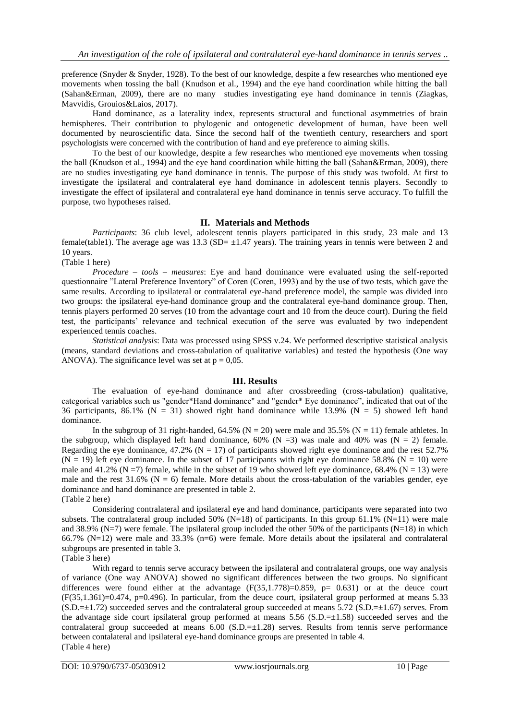preference (Snyder & Snyder, 1928). To the best of our knowledge, despite a few researches who mentioned eye movements when tossing the ball (Knudson et al., 1994) and the eye hand coordination while hitting the ball (Sahan&Erman, 2009), there are no many studies investigating eye hand dominance in tennis (Ziagkas, Mavvidis, Grouios&Laios, 2017).

Hand dominance, as a laterality index, represents structural and functional asymmetries of brain hemispheres. Their contribution to phylogenic and ontogenetic development of human, have been well documented by neuroscientific data. Since the second half of the twentieth century, researchers and sport psychologists were concerned with the contribution of hand and eye preference to aiming skills.

To the best of our knowledge, despite a few researches who mentioned eye movements when tossing the ball (Knudson et al., 1994) and the eye hand coordination while hitting the ball (Sahan&Erman, 2009), there are no studies investigating eye hand dominance in tennis. The purpose of this study was twofold. At first to investigate the ipsilateral and contralateral eye hand dominance in adolescent tennis players. Secondly to investigate the effect of ipsilateral and contralateral eye hand dominance in tennis serve accuracy. To fulfill the purpose, two hypotheses raised.

## **II. Materials and Methods**

*Participants*: 36 club level, adolescent tennis players participated in this study, 23 male and 13 female(table1). The average age was 13.3 (SD= $\pm$ 1.47 years). The training years in tennis were between 2 and 10 years.

(Table 1 here)

*Procedure – tools – measures*: Eye and hand dominance were evaluated using the self-reported questionnaire "Lateral Preference Inventory" of Coren (Coren, 1993) and by the use of two tests, which gave the same results. According to ipsilateral or contralateral eye-hand preference model, the sample was divided into two groups: the ipsilateral eye-hand dominance group and the contralateral eye-hand dominance group. Then, tennis players performed 20 serves (10 from the advantage court and 10 from the deuce court). During the field test, the participants' relevance and technical execution of the serve was evaluated by two independent experienced tennis coaches.

*Statistical analysis*: Data was processed using SPSS v.24. We performed descriptive statistical analysis (means, standard deviations and cross-tabulation of qualitative variables) and tested the hypothesis (One way ANOVA). The significance level was set at  $p = 0.05$ .

## **III. Results**

The evaluation of eye-hand dominance and after crossbreeding (cross-tabulation) qualitative, categorical variables such us "gender\*Hand dominance" and "gender\* Eye dominance", indicated that out of the 36 participants, 86.1% (N = 31) showed right hand dominance while 13.9% (N = 5) showed left hand dominance.

In the subgroup of 31 right-handed,  $64.5\%$  (N = 20) were male and 35.5% (N = 11) female athletes. In the subgroup, which displayed left hand dominance,  $60\%$  (N = 3) was male and 40% was (N = 2) female. Regarding the eye dominance,  $47.2\%$  (N = 17) of participants showed right eye dominance and the rest 52.7%  $(N = 19)$  left eye dominance. In the subset of 17 participants with right eye dominance 58.8% (N = 10) were male and 41.2% ( $N = 7$ ) female, while in the subset of 19 who showed left eye dominance, 68.4% ( $N = 13$ ) were male and the rest  $31.6\%$  (N = 6) female. More details about the cross-tabulation of the variables gender, eye dominance and hand dominance are presented in table 2.

(Table 2 here)

Considering contralateral and ipsilateral eye and hand dominance, participants were separated into two subsets. The contralateral group included 50% (N=18) of participants. In this group 61.1% (N=11) were male and 38.9% (N=7) were female. The ipsilateral group included the other 50% of the participants (N=18) in which 66.7% (N=12) were male and 33.3% (n=6) were female. More details about the ipsilateral and contralateral subgroups are presented in table 3.

(Table 3 here)

With regard to tennis serve accuracy between the ipsilateral and contralateral groups, one way analysis of variance (One way ANOVA) showed no significant differences between the two groups. No significant differences were found either at the advantage  $(F(35,1.778)=0.859, p= 0.631)$  or at the deuce court  $(F(35,1.361)=0.474, p=0.496)$ . In particular, from the deuce court, ipsilateral group performed at means 5.33  $(S.D.=\pm1.72)$  succeeded serves and the contralateral group succeeded at means 5.72  $(S.D.=\pm1.67)$  serves. From the advantage side court ipsilateral group performed at means  $5.56$  (S.D. $=\pm 1.58$ ) succeeded serves and the contralateral group succeeded at means 6.00 (S.D.= $\pm$ 1.28) serves. Results from tennis serve performance between contalateral and ipsilateral eye-hand dominance groups are presented in table 4. (Table 4 here)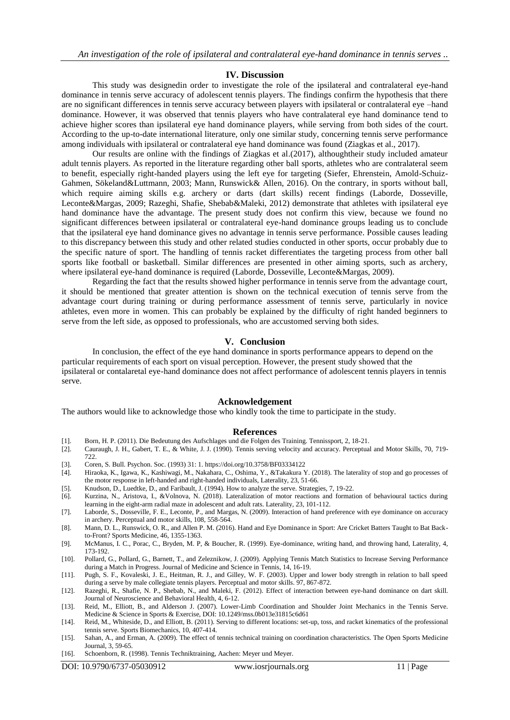#### **IV. Discussion**

This study was designedin order to investigate the role of the ipsilateral and contralateral eye-hand dominance in tennis serve accuracy of adolescent tennis players. The findings confirm the hypothesis that there are no significant differences in tennis serve accuracy between players with ipsilateral or contralateral eye –hand dominance. However, it was observed that tennis players who have contralateral eye hand dominance tend to achieve higher scores than ipsilateral eye hand dominance players, while serving from both sides of the court. According to the up-to-date international literature, only one similar study, concerning tennis serve performance among individuals with ipsilateral or contralateral eye hand dominance was found (Ziagkas et al., 2017).

Our results are online with the findings of Ziagkas et al.(2017), althoughtheir study included amateur adult tennis players. As reported in the literature regarding other ball sports, athletes who are contralateral seem to benefit, especially right-handed players using the left eye for targeting (Siefer, Ehrenstein, Amold-Schuiz-Gahmen, Sökeland&Luttmann, 2003; Mann, Runswick& Allen, 2016). On the contrary, in sports without ball, which require aiming skills e.g. archery or darts (dart skills) recent findings (Laborde, Dosseville, Leconte&Margas, 2009; Razeghi, Shafie, Shebab&Maleki, 2012) demonstrate that athletes with ipsilateral eye hand dominance have the advantage. The present study does not confirm this view, because we found no significant differences between ipsilateral or contralateral eye-hand dominance groups leading us to conclude that the ipsilateral eye hand dominance gives no advantage in tennis serve performance. Possible causes leading to this discrepancy between this study and other related studies conducted in other sports, occur probably due to the specific nature of sport. The handling of tennis racket differentiates the targeting process from other ball sports like football or basketball. Similar differences are presented in other aiming sports, such as archery, where ipsilateral eye-hand dominance is required (Laborde, Dosseville, Leconte&Margas, 2009).

Regarding the fact that the results showed higher performance in tennis serve from the advantage court, it should be mentioned that greater attention is shown on the technical execution of tennis serve from the advantage court during training or during performance assessment of tennis serve, particularly in novice athletes, even more in women. This can probably be explained by the difficulty of right handed beginners to serve from the left side, as opposed to professionals, who are accustomed serving both sides.

### **V. Conclusion**

In conclusion, the effect of the eye hand dominance in sports performance appears to depend on the particular requirements of each sport on visual perception. However, the present study showed that the ipsilateral or contalaretal eye-hand dominance does not affect performance of adolescent tennis players in tennis serve.

### **Acknowledgement**

The authors would like to acknowledge those who kindly took the time to participate in the study.

#### **References**

[1]. Born, H. P. (2011). Die Bedeutung des Aufschlages und die Folgen des Training. Tennissport, 2, 18-21.

[2]. Cauraugh, J. H., Gabert, T. E., & White, J. J. (1990). Tennis serving velocity and accuracy. Perceptual and Motor Skills, 70, 719- 722

- [3]. Coren, S. Bull. Psychon. Soc. (1993) 31: 1. https://doi.org/10.3758/BF03334122
- [4]. Hiraoka, K., Igawa, K., Kashiwagi, M., Nakahara, C., Oshima, Y., &Takakura Y. (2018). The laterality of stop and go processes of the motor response in left-handed and right-handed individuals, Laterality, 23, 51-66.
- [5]. Knudson, D., Luedtke, D., and Faribault, J. (1994). How to analyze the serve. Strategies, 7, 19-22.
- [6]. Kurzina, N., Aristova, I., &Volnova, N. (2018). Lateralization of motor reactions and formation of behavioural tactics during learning in the eight-arm radial maze in adolescent and adult rats. Laterality, 23, 101-112.
- [7]. Laborde, S., Dosseville, F. E., Leconte, P., and Margas, N. (2009). Interaction of hand preference with eye dominance on accuracy in archery. Perceptual and motor skills, 108, 558-564.
- [8]. Mann, D. L., Runswick, O. R., and Allen P. M. (2016). Hand and Eye Dominance in Sport: Are Cricket Batters Taught to Bat Backto-Front? Sports Medicine, 46, 1355-1363.
- [9]. McManus, I. C., Porac, C., Bryden, M. P, & Boucher, R. (1999). Eye-dominance, writing hand, and throwing hand, Laterality, 4, 173-192.
- [10]. Pollard, G., Pollard, G., Barnett, T., and Zeleznikow, J. (2009). Applying Tennis Match Statistics to Increase Serving Performance during a Match in Progress. Journal of Medicine and Science in Tennis, 14, 16-19.
- [11]. Pugh, S. F., Kovaleski, J. E., Heitman, R. J., and Gilley, W. F. (2003). Upper and lower body strength in relation to ball speed during a serve by male collegiate tennis players. Perceptual and motor skills. 97, 867-872.
- [12]. Razeghi, R., Shafie, N. P., Shebab, N., and Maleki, F. (2012). Effect of interaction between eye-hand dominance on dart skill. Journal of Neuroscience and Behavioral Health, 4, 6-12.
- [13]. Reid, M., Elliott, B., and Alderson J. (2007). Lower-Limb Coordination and Shoulder Joint Mechanics in the Tennis Serve. Medicine & Science in Sports & Exercise, DOI: 10.1249/mss.0b013e31815c6d61
- [14]. Reid, M., Whiteside, D., and Elliott, B. (2011). Serving to different locations: set-up, toss, and racket kinematics of the professional tennis serve. Sports Biomechanics, 10, 407-414.
- [15]. Sahan, A., and Erman, A. (2009). The effect of tennis technical training on coordination characteristics. The Open Sports Medicine Journal, 3, 59-65.
- [16]. Schoenborn, R. (1998). Tennis Techniktraining, Aachen: Meyer und Meyer.